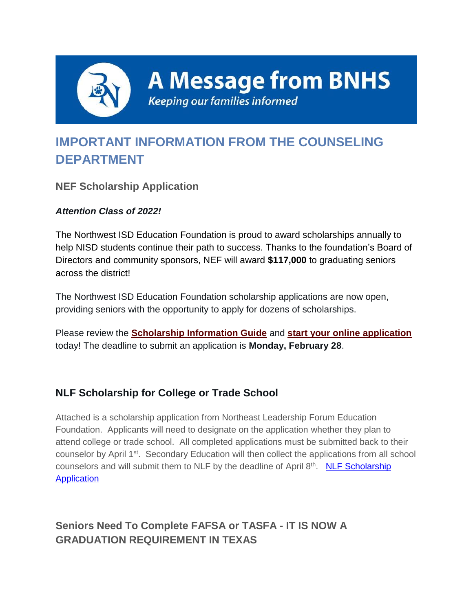

**A Message from BNHS** 

**Keeping our families informed** 

# **IMPORTANT INFORMATION FROM THE COUNSELING DEPARTMENT**

## **NEF Scholarship Application**

### *Attention Class of 2022!*

The Northwest ISD Education Foundation is proud to award scholarships annually to help NISD students continue their path to success. Thanks to the foundation's Board of Directors and community sponsors, NEF will award **\$117,000** to graduating seniors across the district!

The Northwest ISD Education Foundation scholarship applications are now open, providing seniors with the opportunity to apply for dozens of scholarships.

Please review the **[Scholarship Information Guide](http://track.spe.schoolmessenger.com/f/a/T0tVX44NdfZ0N2I9R6126g~~/AAAAAQA~/RgRj5VTVP4S3AWh0dHBzOi8vcjIwLnJzNi5uZXQvdG4uanNwP2Y9MDAxRUg0bnQtaE15THVBYTR0cHVoVTNjeFpGaGFDVWhMa1BSN0l5TVZhejZJQTJVSVU1azBXNTAwOThUT0gwZm5JUU1hRlUtOXdzUnBPWmhHZGVyLXZ3T1NyUGFsdW84QVZmVm9VbGxVejBudkgzZXF3dnMyWTNQeGJIYUpUYkozMjJBZ1FtNVlCNUNFdXFCc015WkY4MU84N2ZZcFh4VUxPV0JkZXY0SFl5MFNmZ1lWam9FUjNCNTdmZVRwUjdWNHNqUUgyekNHREphV2gxZDJHeTIzaDltQXh2RnFkU0pPcENOVlVaNmxQQzRKVktrYllObkN5NXRlSzF2enJZbXJQN2NEcmlwRlJFLXpXXzVrWUJZcVhoeVpidXE5c2ZncXlLJmM9VzdaTmN5ejNvcWdBZmd4WmxxNGV0QWpkZ3FpUjdwNXJkTTc5U3pKdVkxYlpEZkpDYU5jbTRRPT0mY2g9UmhZZmI0MDViOUFOWl9reTdkVUUtbXItbW1SZzR2Zk5lOEZyNXdRTnFTNW9ITnRaZHJwVVNRPT1XB3NjaG9vbG1CCmIBVSEEYpqH5G5SE3BzbWl0aDA0QG5pc2R0eC5vcmdYBAAAAAE~)** and **[start your online application](http://track.spe.schoolmessenger.com/f/a/CinlUIM4NidzWEvX41bp-g~~/AAAAAQA~/RgRj5VTVP4RPAWh0dHBzOi8vcjIwLnJzNi5uZXQvdG4uanNwP2Y9MDAxRUg0bnQtaE15THVBYTR0cHVoVTNjeFpGaGFDVWhMa1BSN0l5TVZhejZJQTJVSVU1azBXNTAwX3BiVGk1dnR3VGF5bHEzdDVaQ3A1d2tBcU0zelE5VzRLWDh3dk9DNDJOc3dFc0lEQkhvRF8yR1p6OHJsUFJYcmRtRnNfSGU2WTRkZkdCWUpmSy1xZ0R1Z2NVQUQ2OHFrX0xqNzJnUDBMbGVUdDNNNE9yZ1NLVzJxTVZzcGpHM0E9PSZjPVc3Wk5jeXozb3FnQWZneFpscTRldEFqZGdxaVI3cDVyZE03OVN6SnVZMWJaRGZKQ2FOY200UT09JmNoPVJoWWZiNDA1YjlBTlpfa3k3ZFVFLW1yLW1tUmc0dmZOZThGcjV3UU5xUzVvSE50WmRycFVTUT09VwdzY2hvb2xtQgpiAVUhBGKah-RuUhNwc21pdGgwNEBuaXNkdHgub3JnWAQAAAAB)** today! The deadline to submit an application is **Monday, February 28**.

# **NLF Scholarship for College or Trade School**

Attached is a scholarship application from Northeast Leadership Forum Education Foundation. Applicants will need to designate on the application whether they plan to attend college or trade school. All completed applications must be submitted back to their counselor by April 1<sup>st</sup>. Secondary Education will then collect the applications from all school counselors and will submit them to NLF by the deadline of April 8<sup>th</sup>. NLF Scholarship **[Application](http://track.spe.schoolmessenger.com/f/a/AdNw1W9NbSX-R-teaPwZmA~~/AAAAAQA~/RgRj5VTVP0R1aHR0cHM6Ly9tc2cuc2Nob29sbWVzc2VuZ2VyLmNvbS9tLz9zPXB4TTc4ajJWdHMwJm1hbD03NWEzZGNkMDRiYjhhYWFkNmM2YjBhMWRkMTM0NjI0OGU0MjMwYmI2YWU1ZDIwNmM4MGFiYTMwYTBkOGEzNmE0VwdzY2hvb2xtQgpiAVUhBGKah-RuUhNwc21pdGgwNEBuaXNkdHgub3JnWAQAAAAB)** 

# **Seniors Need To Complete FAFSA or TASFA - IT IS NOW A GRADUATION REQUIREMENT IN TEXAS**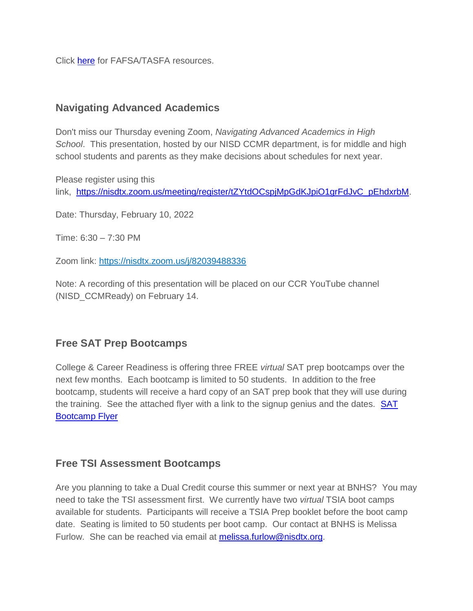Click [here](http://track.spe.schoolmessenger.com/f/a/U1qGvPzVuFr0U8BYcwjxpA~~/AAAAAQA~/RgRj5VTVP0Q4aHR0cHM6Ly9ibmhzLm5pc2R0eC5vcmcvY291bnNlbGluZy9wcmVwYXJpbmctZm9yLWNvbGxlZ2VXB3NjaG9vbG1CCmIBVSEEYpqH5G5SE3BzbWl0aDA0QG5pc2R0eC5vcmdYBAAAAAE~) for FAFSA/TASFA resources.

### **Navigating Advanced Academics**

Don't miss our Thursday evening Zoom, *Navigating Advanced Academics in High School*. This presentation, hosted by our NISD CCMR department, is for middle and high school students and parents as they make decisions about schedules for next year.

Please register using this link, [https://nisdtx.zoom.us/meeting/register/tZYtdOCspjMpGdKJpiO1grFdJvC\\_pEhdxrbM.](http://track.spe.schoolmessenger.com/f/a/wxZgt3iARpFIguDAMS-zAg~~/AAAAAQA~/RgRj5VTVP0RMaHR0cHM6Ly9uaXNkdHguem9vbS51cy9tZWV0aW5nL3JlZ2lzdGVyL3RaWXRkT0NzcGpNcEdkS0pwaU8xZ3JGZEp2Q19wRWhkeHJiTVcHc2Nob29sbUIKYgFVIQRimofkblITcHNtaXRoMDRAbmlzZHR4Lm9yZ1gEAAAAAQ~~)

Date: Thursday, February 10, 2022

Time: 6:30 – 7:30 PM

Zoom link: [https://nisdtx.zoom.us/j/82039488336](http://track.spe.schoolmessenger.com/f/a/2NbVbJzE1ZJtxWcs2pZ3HQ~~/AAAAAQA~/RgRj5VTVP0QkaHR0cHM6Ly9uaXNkdHguem9vbS51cy9qLzgyMDM5NDg4MzM2VwdzY2hvb2xtQgpiAVUhBGKah-RuUhNwc21pdGgwNEBuaXNkdHgub3JnWAQAAAAB)

Note: A recording of this presentation will be placed on our CCR YouTube channel (NISD\_CCMReady) on February 14.

#### **Free SAT Prep Bootcamps**

College & Career Readiness is offering three FREE *virtual* SAT prep bootcamps over the next few months. Each bootcamp is limited to 50 students. In addition to the free bootcamp, students will receive a hard copy of an SAT prep book that they will use during the training. See the attached flyer with a link to the signup genius and the dates. [SAT](http://track.spe.schoolmessenger.com/f/a/jJWw2UrlYIAu2BSSmocgfA~~/AAAAAQA~/RgRj5VTVP0R1aHR0cHM6Ly9tc2cuc2Nob29sbWVzc2VuZ2VyLmNvbS9tLz9zPXB4TTc4ajJWdHMwJm1hbD05MGUyYzdkNTVhZmNhOWJlMWQ0NTgwOTg5NzU1MDg3Y2Y3ZjBlNmM0N2E4YjEwNWJiNGZjMDVkODFiZjRhNDYxVwdzY2hvb2xtQgpiAVUhBGKah-RuUhNwc21pdGgwNEBuaXNkdHgub3JnWAQAAAAB)  [Bootcamp Flyer](http://track.spe.schoolmessenger.com/f/a/jJWw2UrlYIAu2BSSmocgfA~~/AAAAAQA~/RgRj5VTVP0R1aHR0cHM6Ly9tc2cuc2Nob29sbWVzc2VuZ2VyLmNvbS9tLz9zPXB4TTc4ajJWdHMwJm1hbD05MGUyYzdkNTVhZmNhOWJlMWQ0NTgwOTg5NzU1MDg3Y2Y3ZjBlNmM0N2E4YjEwNWJiNGZjMDVkODFiZjRhNDYxVwdzY2hvb2xtQgpiAVUhBGKah-RuUhNwc21pdGgwNEBuaXNkdHgub3JnWAQAAAAB)

#### **Free TSI Assessment Bootcamps**

Are you planning to take a Dual Credit course this summer or next year at BNHS? You may need to take the TSI assessment first. We currently have two *virtual* TSIA boot camps available for students. Participants will receive a TSIA Prep booklet before the boot camp date. Seating is limited to 50 students per boot camp. Our contact at BNHS is Melissa Furlow. She can be reached via email at [melissa.furlow@nisdtx.org.](mailto:melissa.furlow@nisdtx.org)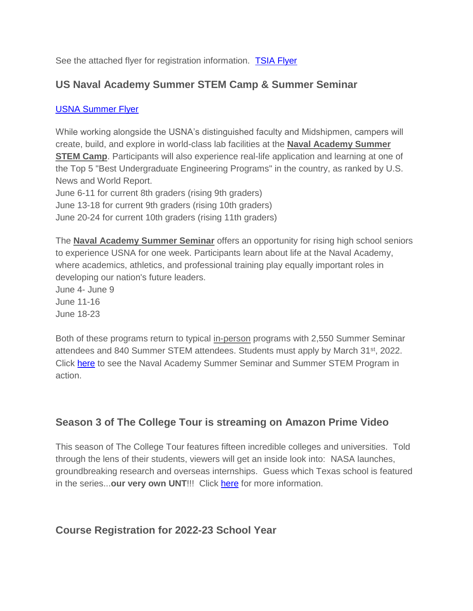See the attached flyer for registration information. [TSIA Flyer](http://track.spe.schoolmessenger.com/f/a/O-PjFKGyM373GyJaIHli5Q~~/AAAAAQA~/RgRj5VTVP0R1aHR0cHM6Ly9tc2cuc2Nob29sbWVzc2VuZ2VyLmNvbS9tLz9zPXB4TTc4ajJWdHMwJm1hbD1iMTkzODg0NDI1N2QwZmY2OWEwMzEyNzRiM2ZkNWYzYWM2MjRmZmZmOTI5NWUyZTlkYjE5ZTk0Nzk3YjIyMmYwVwdzY2hvb2xtQgpiAVUhBGKah-RuUhNwc21pdGgwNEBuaXNkdHgub3JnWAQAAAAB)

### **US Naval Academy Summer STEM Camp & Summer Seminar**

#### [USNA Summer Flyer](http://track.spe.schoolmessenger.com/f/a/b_CxJ9fVpNH0ahy_KEOHNA~~/AAAAAQA~/RgRj5VTVP0R1aHR0cHM6Ly9tc2cuc2Nob29sbWVzc2VuZ2VyLmNvbS9tLz9zPXB4TTc4ajJWdHMwJm1hbD1hMjhkOWIyZjU1OTIyYmY4ZmQ3Njg4NTA5ZDg0MjVjYzYzOGM4MGUyNzVkN2MwODQxNjkyNTU2YWI5NDljNjIwVwdzY2hvb2xtQgpiAVUhBGKah-RuUhNwc21pdGgwNEBuaXNkdHgub3JnWAQAAAAB)

While working alongside the USNA's distinguished faculty and Midshipmen, campers will create, build, and explore in world-class lab facilities at the **Naval Academy Summer STEM Camp**. Participants will also experience real-life application and learning at one of the Top 5 "Best Undergraduate Engineering Programs" in the country, as ranked by U.S. News and World Report. June 6-11 for current 8th graders (rising 9th graders)

June 13-18 for current 9th graders (rising 10th graders)

June 20-24 for current 10th graders (rising 11th graders)

The **Naval Academy Summer Seminar** offers an opportunity for rising high school seniors to experience USNA for one week. Participants learn about life at the Naval Academy, where academics, athletics, and professional training play equally important roles in developing our nation's future leaders.

June 4- June 9 June 11-16 June 18-23

Both of these programs return to typical in-person programs with 2,550 Summer Seminar attendees and 840 Summer STEM attendees. Students must apply by March 31st, 2022. Click [here](http://track.spe.schoolmessenger.com/f/a/uzEVUWXhMYYeVT_dXo2rWw~~/AAAAAQA~/RgRj5VTVP0RTaHR0cHM6Ly9wcm90ZWN0LXVzLm1pbWVjYXN0LmNvbS9zLzRiOXhDeGt4NGtDUmx6UHBpOFNtN1o_ZG9tYWluPWlxY29ubmVjdC5ob3VzZS5nb3ZXB3NjaG9vbG1CCmIBVSEEYpqH5G5SE3BzbWl0aDA0QG5pc2R0eC5vcmdYBAAAAAE~) to see the Naval Academy Summer Seminar and Summer STEM Program in action.

### **Season 3 of The College Tour is streaming on Amazon Prime Video**

This season of The College Tour features fifteen incredible colleges and universities. Told through the lens of their students, viewers will get an inside look into: NASA launches, groundbreaking research and overseas internships. Guess which Texas school is featured in the series...**our very own UNT!!!** Click [here](http://track.spe.schoolmessenger.com/f/a/rpmf-jyZCYNIktV9WG6d8w~~/AAAAAQA~/RgRj5VTVP0RtaHR0cHM6Ly9nZW0uZ29kYWRkeS5jb20vcC8yMjQwODMxP3BhY3Q9MjI4OTQzNC0xNjY1NTM3NTQtMTM2OTgxOTE4NTktZmIwMjJhNWVhYzA2ODUyMGU3OWFkMzQ5ZjMzZTE1NDhhMWFiYTA5ZFcHc2Nob29sbUIKYgFVIQRimofkblITcHNtaXRoMDRAbmlzZHR4Lm9yZ1gEAAAAAQ~~) for more information.

### **Course Registration for 2022-23 School Year**